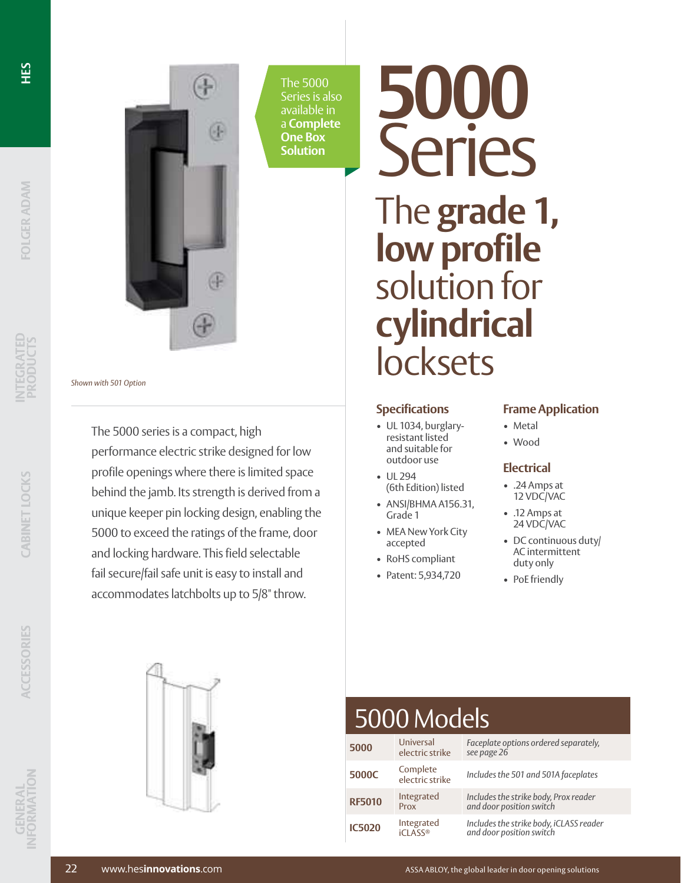**INTEGRATED PRODUCTS**

**CABINET LOCKS**

CABINET LOCKS

**ACCESSORIES**

**GENERAL**<br>INFORMATION



The 5000 Series is also available in a **Complete One Box Solution**

*Shown with 501 Option*

The 5000 series is a compact, high performance electric strike designed for low profile openings where there is limited space behind the jamb. Its strength is derived from a unique keeper pin locking design, enabling the 5000 to exceed the ratings of the frame, door and locking hardware. This field selectable fail secure/fail safe unit is easy to install and accommodates latchbolts up to 5/8" throw.

**5000 Series** The **grade 1, low profile** solution for **cylindrical locksets** 

#### **Specifications**

- UL 1034, burglaryresistant listed and suitable for outdoor use
- UL 294 (6th Edition) listed
- ANSI/BHMA A156.31, Grade 1
- MEA New York City accepted
- RoHS compliant
- Patent: 5,934,720

#### **Frame Application**

- Metal
- Wood

#### **Electrical**

- .24 Amps at 12 VDC/VAC
- .12 Amps at 24 VDC/VAC
- DC continuous duty/ AC intermittent duty only
- PoE friendly



# 5000 Models

| 5000          | Universal<br>electric strike | Faceplate options ordered separately,<br>see page 26                |
|---------------|------------------------------|---------------------------------------------------------------------|
| 5000C         | Complete<br>electric strike  | Includes the 501 and 501A faceplates                                |
| <b>RF5010</b> | Integrated<br>Prox           | Includes the strike body, Prox reader<br>and door position switch   |
| <b>IC5020</b> | Integrated<br>iCLASS®        | Includes the strike body, iCLASS reader<br>and door position switch |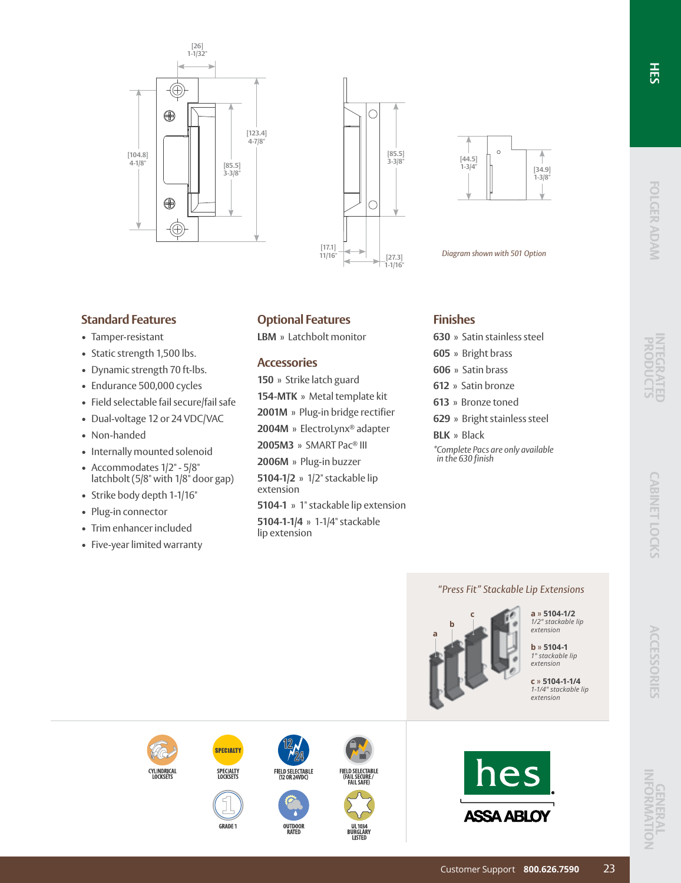





*Diagram shown with 501 Option*

#### **Standard Features**

- Tamper-resistant
- Static strength 1,500 lbs.
- Dynamic strength 70 ft-lbs.
- Endurance 500,000 cycles
- Field selectable fail secure/fail safe
- Dual-voltage 12 or 24 VDC/VAC
- Non-handed
- Internally mounted solenoid
- Accommodates 1/2" 5/8" latchbolt (5/8" with 1/8" door gap)
- Strike body depth 1-1/16"
- Plug-in connector
- Trim enhancer included
- Five-year limited warranty

#### **Optional Features**

**LBM** » Latchbolt monitor

#### **Accessories**

**150** » Strike latch guard **154-MTK** » Metal template kit **2001M** » Plug-in bridge rectifier **2004M** » ElectroLynx® adapter **2005M3** » SMART Pac® III **2006M** » Plug-in buzzer **5104-1/2** » 1/2" stackable lip extension

**5104-1** » 1" stackable lip extension **5104-1-1/4** » 1-1/4" stackable lip extension

### **Finishes**

- **630** » Satin stainless steel
- **605** » Bright brass
- **606** » Satin brass
- **612** » Satin bronze
- **613** » Bronze toned
- **629** » Bright stainless steel
- **BLK** » Black
- *\*Complete Pacs are only available in the 630 finish*



*"Press Fit" Stackable Lip Extensions*

**a**

**c a** » **5104-1/2** *1/2" stackable lip extension*

**b** » **5104-1**  *1" stackable lip extension*

**c** » **5104-1-1/4**  *1-1/4" stackable lip extension*





**GRADE 1**